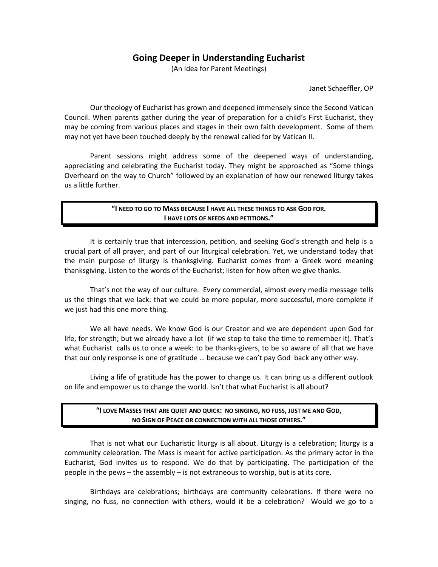# **Going Deeper in Understanding Eucharist**

(An Idea for Parent Meetings)

Janet Schaeffler, OP

Our theology of Eucharist has grown and deepened immensely since the Second Vatican Council. When parents gather during the year of preparation for a child's First Eucharist, they may be coming from various places and stages in their own faith development. Some of them may not yet have been touched deeply by the renewal called for by Vatican II.

Parent sessions might address some of the deepened ways of understanding, appreciating and celebrating the Eucharist today. They might be approached as "Some things Overheard on the way to Church" followed by an explanation of how our renewed liturgy takes us a little further.

### **"I NEED TO GO TO MASS BECAUSE I HAVE ALL THESE THINGS TO ASK GOD FOR. I HAVE LOTS OF NEEDS AND PETITIONS."**

It is certainly true that intercession, petition, and seeking God's strength and help is a crucial part of all prayer, and part of our liturgical celebration. Yet, we understand today that the main purpose of liturgy is thanksgiving. Eucharist comes from a Greek word meaning thanksgiving. Listen to the words of the Eucharist; listen for how often we give thanks.

That's not the way of our culture. Every commercial, almost every media message tells us the things that we lack: that we could be more popular, more successful, more complete if we just had this one more thing.

We all have needs. We know God is our Creator and we are dependent upon God for life, for strength; but we already have a lot (if we stop to take the time to remember it). That's what Eucharist calls us to once a week: to be thanks-givers, to be so aware of all that we have that our only response is one of gratitude … because we can't pay God back any other way.

Living a life of gratitude has the power to change us. It can bring us a different outlook on life and empower us to change the world. Isn't that what Eucharist is all about?

### **"I LOVE MASSES THAT ARE QUIET AND QUICK: NO SINGING, NO FUSS, JUST ME AND GOD, NO SIGN OF PEACE OR CONNECTION WITH ALL THOSE OTHERS."**

That is not what our Eucharistic liturgy is all about. Liturgy is a celebration; liturgy is a community celebration. The Mass is meant for active participation. As the primary actor in the Eucharist, God invites us to respond. We do that by participating. The participation of the people in the pews – the assembly – is not extraneous to worship, but is at its core.

Birthdays are celebrations; birthdays are community celebrations. If there were no singing, no fuss, no connection with others, would it be a celebration? Would we go to a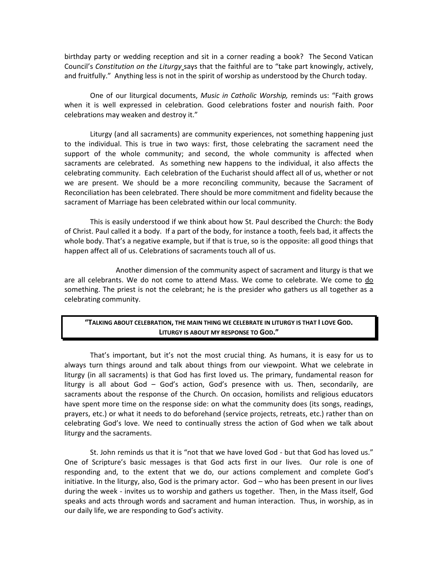birthday party or wedding reception and sit in a corner reading a book? The Second Vatican Council's *Constitution on the Liturgy* says that the faithful are to "take part knowingly, actively, and fruitfully." Anything less is not in the spirit of worship as understood by the Church today.

One of our liturgical documents, *Music in Catholic Worship,* reminds us: "Faith grows when it is well expressed in celebration. Good celebrations foster and nourish faith. Poor celebrations may weaken and destroy it."

Liturgy (and all sacraments) are community experiences, not something happening just to the individual. This is true in two ways: first, those celebrating the sacrament need the support of the whole community; and second, the whole community is affected when sacraments are celebrated. As something new happens to the individual, it also affects the celebrating community. Each celebration of the Eucharist should affect all of us, whether or not we are present. We should be a more reconciling community, because the Sacrament of Reconciliation has been celebrated. There should be more commitment and fidelity because the sacrament of Marriage has been celebrated within our local community.

This is easily understood if we think about how St. Paul described the Church: the Body of Christ. Paul called it a body. If a part of the body, for instance a tooth, feels bad, it affects the whole body. That's a negative example, but if that is true, so is the opposite: all good things that happen affect all of us. Celebrations of sacraments touch all of us.

Another dimension of the community aspect of sacrament and liturgy is that we are all celebrants. We do not come to attend Mass. We come to celebrate. We come to do something. The priest is not the celebrant; he is the presider who gathers us all together as a celebrating community.

# **"TALKING ABOUT CELEBRATION, THE MAIN THING WE CELEBRATE IN LITURGY IS THAT I LOVE GOD. LITURGY IS ABOUT MY RESPONSE TO GOD."**

That's important, but it's not the most crucial thing. As humans, it is easy for us to always turn things around and talk about things from our viewpoint. What we celebrate in liturgy (in all sacraments) is that God has first loved us. The primary, fundamental reason for liturgy is all about God – God's action, God's presence with us. Then, secondarily, are sacraments about the response of the Church. On occasion, homilists and religious educators have spent more time on the response side: on what the community does (its songs, readings, prayers, etc.) or what it needs to do beforehand (service projects, retreats, etc.) rather than on celebrating God's love. We need to continually stress the action of God when we talk about liturgy and the sacraments.

St. John reminds us that it is "not that we have loved God - but that God has loved us." One of Scripture's basic messages is that God acts first in our lives. Our role is one of responding and, to the extent that we do, our actions complement and complete God's initiative. In the liturgy, also, God is the primary actor. God – who has been present in our lives during the week - invites us to worship and gathers us together. Then, in the Mass itself, God speaks and acts through words and sacrament and human interaction. Thus, in worship, as in our daily life, we are responding to God's activity.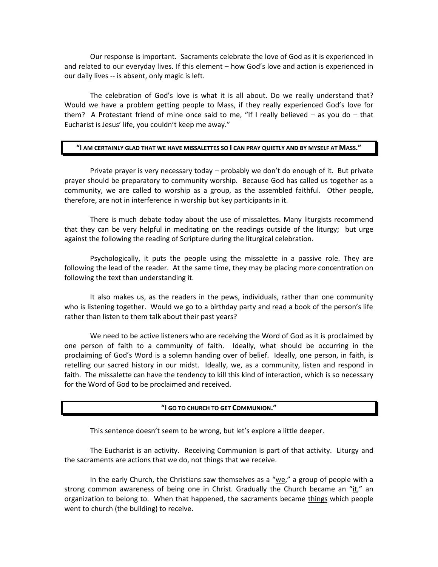Our response is important. Sacraments celebrate the love of God as it is experienced in and related to our everyday lives. If this element – how God's love and action is experienced in our daily lives -- is absent, only magic is left.

The celebration of God's love is what it is all about. Do we really understand that? Would we have a problem getting people to Mass, if they really experienced God's love for them? A Protestant friend of mine once said to me, "If I really believed – as you do – that Eucharist is Jesus' life, you couldn't keep me away."

#### **"I AM CERTAINLY GLAD THAT WE HAVE MISSALETTES SO I CAN PRAY QUIETLY AND BY MYSELF AT MASS."**

Private prayer is very necessary today – probably we don't do enough of it. But private prayer should be preparatory to community worship. Because God has called us together as a community, we are called to worship as a group, as the assembled faithful. Other people, therefore, are not in interference in worship but key participants in it.

There is much debate today about the use of missalettes. Many liturgists recommend that they can be very helpful in meditating on the readings outside of the liturgy; but urge against the following the reading of Scripture during the liturgical celebration.

Psychologically, it puts the people using the missalette in a passive role. They are following the lead of the reader. At the same time, they may be placing more concentration on following the text than understanding it.

It also makes us, as the readers in the pews, individuals, rather than one community who is listening together. Would we go to a birthday party and read a book of the person's life rather than listen to them talk about their past years?

We need to be active listeners who are receiving the Word of God as it is proclaimed by one person of faith to a community of faith. Ideally, what should be occurring in the proclaiming of God's Word is a solemn handing over of belief. Ideally, one person, in faith, is retelling our sacred history in our midst. Ideally, we, as a community, listen and respond in faith. The missalette can have the tendency to kill this kind of interaction, which is so necessary for the Word of God to be proclaimed and received.

#### **"I GO TO CHURCH TO GET COMMUNION."**

This sentence doesn't seem to be wrong, but let's explore a little deeper.

The Eucharist is an activity. Receiving Communion is part of that activity. Liturgy and the sacraments are actions that we do, not things that we receive.

In the early Church, the Christians saw themselves as a "we," a group of people with a strong common awareness of being one in Christ. Gradually the Church became an "it," an organization to belong to. When that happened, the sacraments became things which people went to church (the building) to receive.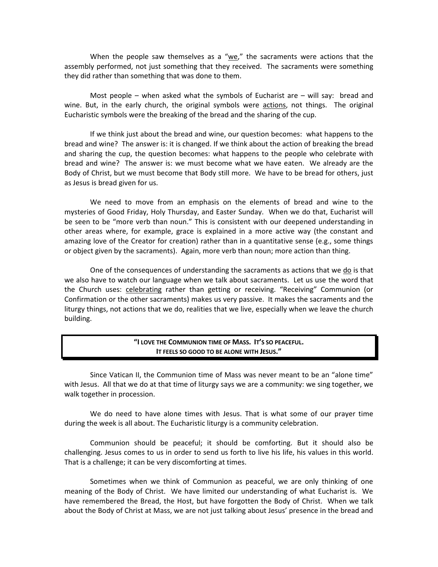When the people saw themselves as a " $we$ ," the sacraments were actions that the assembly performed, not just something that they received. The sacraments were something they did rather than something that was done to them.

Most people – when asked what the symbols of Eucharist are – will say: bread and wine. But, in the early church, the original symbols were actions, not things. The original Eucharistic symbols were the breaking of the bread and the sharing of the cup.

If we think just about the bread and wine, our question becomes: what happens to the bread and wine? The answer is: it is changed. If we think about the action of breaking the bread and sharing the cup, the question becomes: what happens to the people who celebrate with bread and wine? The answer is: we must become what we have eaten. We already are the Body of Christ, but we must become that Body still more. We have to be bread for others, just as Jesus is bread given for us.

We need to move from an emphasis on the elements of bread and wine to the mysteries of Good Friday, Holy Thursday, and Easter Sunday. When we do that, Eucharist will be seen to be "more verb than noun." This is consistent with our deepened understanding in other areas where, for example, grace is explained in a more active way (the constant and amazing love of the Creator for creation) rather than in a quantitative sense (e.g., some things or object given by the sacraments). Again, more verb than noun; more action than thing.

One of the consequences of understanding the sacraments as actions that we do is that we also have to watch our language when we talk about sacraments. Let us use the word that the Church uses: celebrating rather than getting or receiving. "Receiving" Communion (or Confirmation or the other sacraments) makes us very passive. It makes the sacraments and the liturgy things, not actions that we do, realities that we live, especially when we leave the church building.

### **"I LOVE THE COMMUNION TIME OF MASS. IT'S SO PEACEFUL. IT FEELS SO GOOD TO BE ALONE WITH JESUS."**

Since Vatican II, the Communion time of Mass was never meant to be an "alone time" with Jesus. All that we do at that time of liturgy says we are a community: we sing together, we walk together in procession.

We do need to have alone times with Jesus. That is what some of our prayer time during the week is all about. The Eucharistic liturgy is a community celebration.

Communion should be peaceful; it should be comforting. But it should also be challenging. Jesus comes to us in order to send us forth to live his life, his values in this world. That is a challenge; it can be very discomforting at times.

Sometimes when we think of Communion as peaceful, we are only thinking of one meaning of the Body of Christ. We have limited our understanding of what Eucharist is. We have remembered the Bread, the Host, but have forgotten the Body of Christ. When we talk about the Body of Christ at Mass, we are not just talking about Jesus' presence in the bread and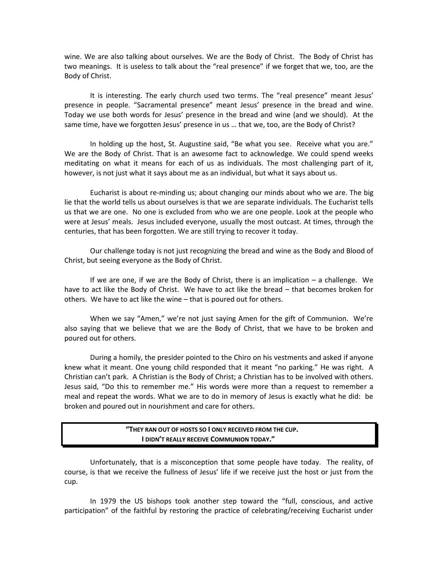wine. We are also talking about ourselves. We are the Body of Christ. The Body of Christ has two meanings. It is useless to talk about the "real presence" if we forget that we, too, are the Body of Christ.

It is interesting. The early church used two terms. The "real presence" meant Jesus' presence in people. "Sacramental presence" meant Jesus' presence in the bread and wine. Today we use both words for Jesus' presence in the bread and wine (and we should). At the same time, have we forgotten Jesus' presence in us … that we, too, are the Body of Christ?

In holding up the host, St. Augustine said, "Be what you see. Receive what you are." We are the Body of Christ. That is an awesome fact to acknowledge. We could spend weeks meditating on what it means for each of us as individuals. The most challenging part of it, however, is not just what it says about me as an individual, but what it says about us.

Eucharist is about re-minding us; about changing our minds about who we are. The big lie that the world tells us about ourselves is that we are separate individuals. The Eucharist tells us that we are one. No one is excluded from who we are one people. Look at the people who were at Jesus' meals. Jesus included everyone, usually the most outcast. At times, through the centuries, that has been forgotten. We are still trying to recover it today.

Our challenge today is not just recognizing the bread and wine as the Body and Blood of Christ, but seeing everyone as the Body of Christ.

If we are one, if we are the Body of Christ, there is an implication – a challenge. We have to act like the Body of Christ. We have to act like the bread – that becomes broken for others. We have to act like the wine – that is poured out for others.

When we say "Amen," we're not just saying Amen for the gift of Communion. We're also saying that we believe that we are the Body of Christ, that we have to be broken and poured out for others.

During a homily, the presider pointed to the Chiro on his vestments and asked if anyone knew what it meant. One young child responded that it meant "no parking." He was right. A Christian can't park. A Christian is the Body of Christ; a Christian has to be involved with others. Jesus said, "Do this to remember me." His words were more than a request to remember a meal and repeat the words. What we are to do in memory of Jesus is exactly what he did: be broken and poured out in nourishment and care for others.

#### **"THEY RAN OUT OF HOSTS SO I ONLY RECEIVED FROM THE CUP. I DIDN'T REALLY RECEIVE COMMUNION TODAY."**

Unfortunately, that is a misconception that some people have today. The reality, of course, is that we receive the fullness of Jesus' life if we receive just the host or just from the cup.

In 1979 the US bishops took another step toward the "full, conscious, and active participation" of the faithful by restoring the practice of celebrating/receiving Eucharist under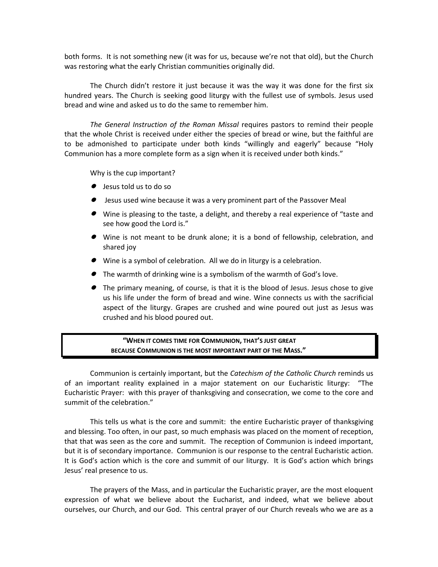both forms. It is not something new (it was for us, because we're not that old), but the Church was restoring what the early Christian communities originally did.

The Church didn't restore it just because it was the way it was done for the first six hundred years. The Church is seeking good liturgy with the fullest use of symbols. Jesus used bread and wine and asked us to do the same to remember him.

*The General Instruction of the Roman Missal* requires pastors to remind their people that the whole Christ is received under either the species of bread or wine, but the faithful are to be admonished to participate under both kinds "willingly and eagerly" because "Holy Communion has a more complete form as a sign when it is received under both kinds."

Why is the cup important?

- Jesus told us to do so
- Jesus used wine because it was a very prominent part of the Passover Meal
- Wine is pleasing to the taste, a delight, and thereby a real experience of "taste and see how good the Lord is."
- Wine is not meant to be drunk alone; it is a bond of fellowship, celebration, and shared joy
- Wine is a symbol of celebration. All we do in liturgy is a celebration.
- The warmth of drinking wine is a symbolism of the warmth of God's love.
- The primary meaning, of course, is that it is the blood of Jesus. Jesus chose to give us his life under the form of bread and wine. Wine connects us with the sacrificial aspect of the liturgy. Grapes are crushed and wine poured out just as Jesus was crushed and his blood poured out.

# **"WHEN IT COMES TIME FOR COMMUNION, THAT'S JUST GREAT BECAUSE COMMUNION IS THE MOST IMPORTANT PART OF THE MASS."**

Communion is certainly important, but the *Catechism of the Catholic Church* reminds us of an important reality explained in a major statement on our Eucharistic liturgy: "The Eucharistic Prayer: with this prayer of thanksgiving and consecration, we come to the core and summit of the celebration."

This tells us what is the core and summit: the entire Eucharistic prayer of thanksgiving and blessing. Too often, in our past, so much emphasis was placed on the moment of reception, that that was seen as the core and summit. The reception of Communion is indeed important, but it is of secondary importance. Communion is our response to the central Eucharistic action. It is God's action which is the core and summit of our liturgy. It is God's action which brings Jesus' real presence to us.

The prayers of the Mass, and in particular the Eucharistic prayer, are the most eloquent expression of what we believe about the Eucharist, and indeed, what we believe about ourselves, our Church, and our God. This central prayer of our Church reveals who we are as a